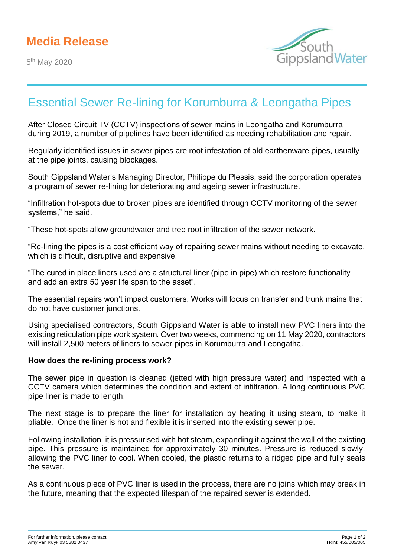5<sup>th</sup> May 2020



## Essential Sewer Re-lining for Korumburra & Leongatha Pipes

After Closed Circuit TV (CCTV) inspections of sewer mains in Leongatha and Korumburra during 2019, a number of pipelines have been identified as needing rehabilitation and repair.

Regularly identified issues in sewer pipes are root infestation of old earthenware pipes, usually at the pipe joints, causing blockages.

South Gippsland Water's Managing Director, Philippe du Plessis, said the corporation operates a program of sewer re-lining for deteriorating and ageing sewer infrastructure.

"Infiltration hot-spots due to broken pipes are identified through CCTV monitoring of the sewer systems," he said.

"These hot-spots allow groundwater and tree root infiltration of the sewer network.

"Re-lining the pipes is a cost efficient way of repairing sewer mains without needing to excavate, which is difficult, disruptive and expensive.

"The cured in place liners used are a structural liner (pipe in pipe) which restore functionality and add an extra 50 year life span to the asset".

The essential repairs won't impact customers. Works will focus on transfer and trunk mains that do not have customer junctions.

Using specialised contractors, South Gippsland Water is able to install new PVC liners into the existing reticulation pipe work system. Over two weeks, commencing on 11 May 2020, contractors will install 2,500 meters of liners to sewer pipes in Korumburra and Leongatha.

## **How does the re-lining process work?**

The sewer pipe in question is cleaned (jetted with high pressure water) and inspected with a CCTV camera which determines the condition and extent of infiltration. A long continuous PVC pipe liner is made to length.

The next stage is to prepare the liner for installation by heating it using steam, to make it pliable. Once the liner is hot and flexible it is inserted into the existing sewer pipe.

Following installation, it is pressurised with hot steam, expanding it against the wall of the existing pipe. This pressure is maintained for approximately 30 minutes. Pressure is reduced slowly, allowing the PVC liner to cool. When cooled, the plastic returns to a ridged pipe and fully seals the sewer.

As a continuous piece of PVC liner is used in the process, there are no joins which may break in the future, meaning that the expected lifespan of the repaired sewer is extended.